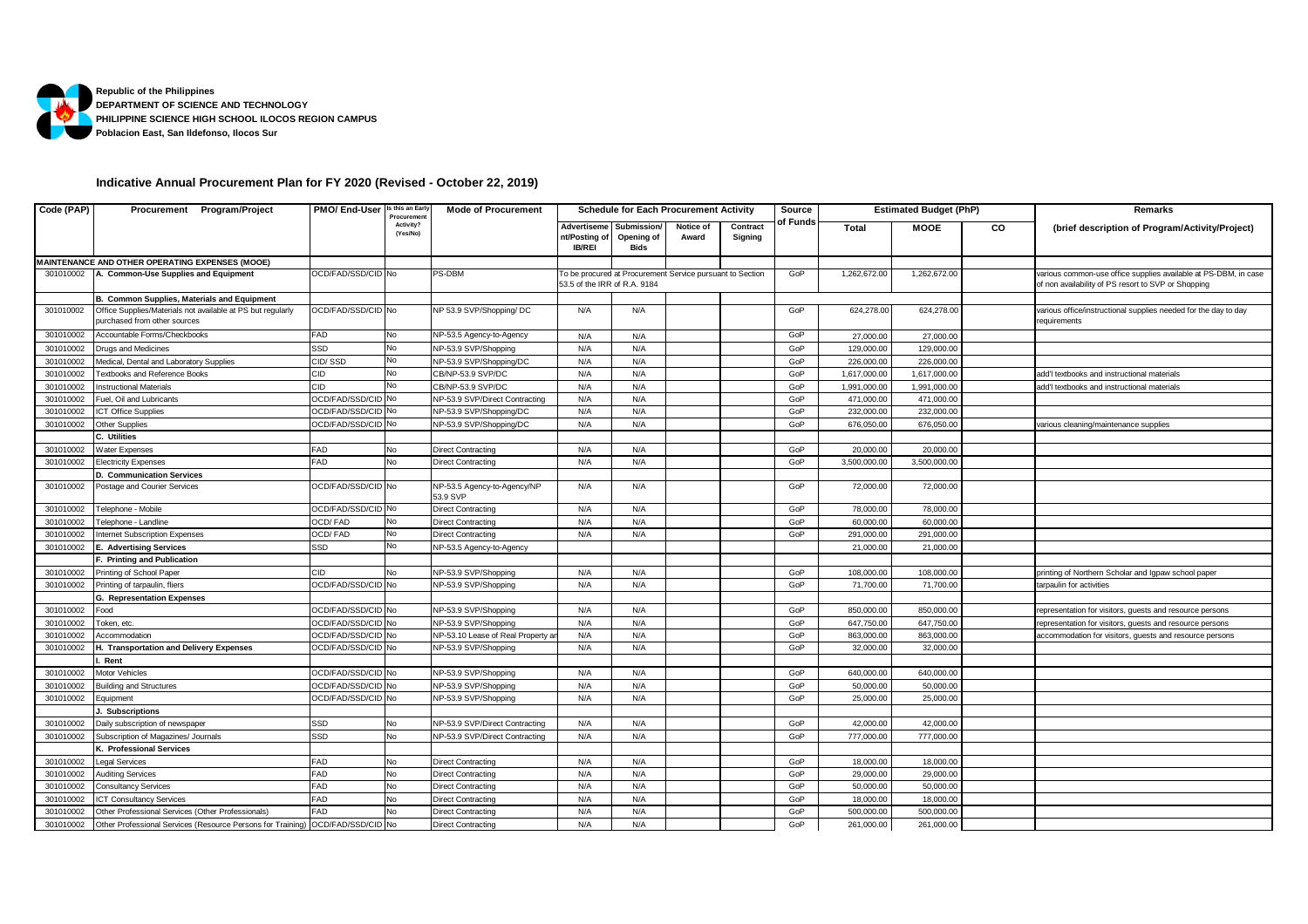

## **Indicative Annual Procurement Plan for FY 2020 (Revised - October 22, 2019)**

| Code (PAP) | Procurement Program/Project                                                                 | PMO/ End-User          | s this an Early<br>Procuremen | <b>Mode of Procurement</b>              | <b>Schedule for Each Procurement Activity</b> |                                   |                                                           | Source              | <b>Estimated Budget (PhP)</b> |              |              | Remarks |                                                                                                                        |
|------------|---------------------------------------------------------------------------------------------|------------------------|-------------------------------|-----------------------------------------|-----------------------------------------------|-----------------------------------|-----------------------------------------------------------|---------------------|-------------------------------|--------------|--------------|---------|------------------------------------------------------------------------------------------------------------------------|
|            |                                                                                             |                        | Activity?<br>(Yes/No)         |                                         | Advertiseme<br>nt/Posting of<br><b>IB/REI</b> | Submission/<br>Opening of<br>Bids | Notice of<br>Award                                        | Contract<br>Signing | of Funds                      | Total        | <b>MOOE</b>  | CO      | (brief description of Program/Activity/Project)                                                                        |
|            | MAINTENANCE AND OTHER OPERATING EXPENSES (MOOE)                                             |                        |                               |                                         |                                               |                                   |                                                           |                     |                               |              |              |         |                                                                                                                        |
| 301010002  | A. Common-Use Supplies and Equipment                                                        | OCD/FAD/SSD/CID No     |                               | PS-DBM                                  | 53.5 of the IRR of R.A. 9184                  |                                   | To be procured at Procurement Service pursuant to Section |                     | GoP                           | 1,262,672.00 | 1,262,672.00 |         | various common-use office supplies available at PS-DBM, in case<br>of non availability of PS resort to SVP or Shopping |
|            | B. Common Supplies, Materials and Equipment                                                 |                        |                               |                                         |                                               |                                   |                                                           |                     |                               |              |              |         |                                                                                                                        |
| 301010002  | Office Supplies/Materials not available at PS but regularly<br>purchased from other sources | OCD/FAD/SSD/CID No     |                               | NP 53.9 SVP/Shopping/ DC                | N/A                                           | N/A                               |                                                           |                     | GoP                           | 624,278.00   | 624,278.00   |         | various office/instructional supplies needed for the day to day<br>requirements                                        |
| 301010002  | Accountable Forms/Checkbooks                                                                | FAD                    |                               | NP-53.5 Agency-to-Agency                | N/A                                           | N/A                               |                                                           |                     | GoP                           | 27,000.00    | 27,000.00    |         |                                                                                                                        |
| 301010002  | Drugs and Medicines                                                                         | SSD                    | No                            | NP-53.9 SVP/Shopping                    | N/A                                           | N/A                               |                                                           |                     | GoP                           | 129,000.00   | 129,000.00   |         |                                                                                                                        |
| 301010002  | Medical, Dental and Laboratory Supplies                                                     | CID/SSD                |                               | NP-53.9 SVP/Shopping/DC                 | N/A                                           | N/A                               |                                                           |                     | GoP                           | 226,000.00   | 226,000.00   |         |                                                                                                                        |
| 301010002  | <b>Textbooks and Reference Books</b>                                                        | CID                    | No                            | CB/NP-53.9 SVP/DC                       | N/A                                           | N/A                               |                                                           |                     | GoP                           | 1,617,000.00 | 1,617,000.00 |         | add'I textbooks and instructional materials                                                                            |
| 301010002  | <b>Instructional Materials</b>                                                              | CID                    |                               | CB/NP-53.9 SVP/DC                       | N/A                                           | N/A                               |                                                           |                     | GoP                           | 1,991,000.00 | 1,991,000.00 |         | add'I textbooks and instructional materials                                                                            |
| 301010002  | Fuel, Oil and Lubricants                                                                    | <b>OCD/FAD/SSD/CID</b> | No                            | NP-53.9 SVP/Direct Contracting          | N/A                                           | N/A                               |                                                           |                     | GoP                           | 471,000.00   | 471,000.00   |         |                                                                                                                        |
| 301010002  | <b>ICT Office Supplies</b>                                                                  | <b>OCD/FAD/SSD/CID</b> |                               | NP-53.9 SVP/Shopping/DC                 | N/A                                           | N/A                               |                                                           |                     | GoP                           | 232,000.00   | 232,000.00   |         |                                                                                                                        |
| 301010002  | Other Supplies                                                                              | <b>OCD/FAD/SSD/CID</b> |                               | NP-53.9 SVP/Shopping/DC                 | N/A                                           | N/A                               |                                                           |                     | GoP                           | 676,050.00   | 676,050.00   |         | various cleaning/maintenance supplies                                                                                  |
|            | C. Utilities                                                                                |                        |                               |                                         |                                               |                                   |                                                           |                     |                               |              |              |         |                                                                                                                        |
| 301010002  | Water Expenses                                                                              | FAD                    | No                            | <b>Direct Contracting</b>               | N/A                                           | N/A                               |                                                           |                     | GoP                           | 20,000.00    | 20,000.00    |         |                                                                                                                        |
| 301010002  | <b>Electricity Expenses</b>                                                                 | FAD                    | No                            | <b>Direct Contracting</b>               | N/A                                           | N/A                               |                                                           |                     | GoP                           | 3,500,000.00 | 3,500,000.00 |         |                                                                                                                        |
|            | D. Communication Services                                                                   |                        |                               |                                         |                                               |                                   |                                                           |                     |                               |              |              |         |                                                                                                                        |
| 301010002  | Postage and Courier Services                                                                | OCD/FAD/SSD/CID No     |                               | NP-53.5 Agency-to-Agency/NP<br>53.9 SVP | N/A                                           | N/A                               |                                                           |                     | GoP                           | 72,000.00    | 72,000.00    |         |                                                                                                                        |
| 301010002  | Telephone - Mobile                                                                          | OCD/FAD/SSD/CID No     |                               | <b>Direct Contracting</b>               | N/A                                           | N/A                               |                                                           |                     | GoP                           | 78,000.00    | 78,000.00    |         |                                                                                                                        |
| 301010002  | Telephone - Landline                                                                        | OCD/FAD                | No                            | <b>Direct Contracting</b>               | N/A                                           | N/A                               |                                                           |                     | GoP                           | 60,000.00    | 60,000.00    |         |                                                                                                                        |
| 301010002  | <b>Internet Subscription Expenses</b>                                                       | OCD/FAD                | No                            | <b>Direct Contracting</b>               | N/A                                           | N/A                               |                                                           |                     | GoP                           | 291,000.00   | 291,000.00   |         |                                                                                                                        |
| 301010002  | <b>E. Advertising Services</b>                                                              | SSD                    | No                            | NP-53.5 Agency-to-Agency                |                                               |                                   |                                                           |                     |                               | 21,000.00    | 21,000.00    |         |                                                                                                                        |
|            | F. Printing and Publication                                                                 |                        |                               |                                         |                                               |                                   |                                                           |                     |                               |              |              |         |                                                                                                                        |
| 301010002  | Printing of School Paper                                                                    | CID                    | No                            | NP-53.9 SVP/Shopping                    | N/A                                           | N/A                               |                                                           |                     | GoP                           | 108,000.00   | 108,000.00   |         | printing of Northern Scholar and Igpaw school paper                                                                    |
| 301010002  | Printing of tarpaulin, fliers                                                               | OCD/FAD/SSD/CID No     |                               | NP-53.9 SVP/Shopping                    | N/A                                           | N/A                               |                                                           |                     | GoP                           | 71,700.00    | 71,700.00    |         | tarpaulin for activities                                                                                               |
|            | <b>G. Representation Expenses</b>                                                           |                        |                               |                                         |                                               |                                   |                                                           |                     |                               |              |              |         |                                                                                                                        |
| 301010002  | Food                                                                                        | OCD/FAD/SSD/CID No     |                               | NP-53.9 SVP/Shopping                    | N/A                                           | N/A                               |                                                           |                     | GoP                           | 850,000.00   | 850,000.00   |         | representation for visitors, guests and resource persons                                                               |
| 301010002  | Token, etc.                                                                                 | OCD/FAD/SSD/CID        | No                            | NP-53.9 SVP/Shopping                    | N/A                                           | N/A                               |                                                           |                     | GoP                           | 647,750.00   | 647,750.00   |         | representation for visitors, guests and resource persons                                                               |
| 301010002  | Accommodation                                                                               | OCD/FAD/SSD/CID        | No                            | NP-53.10 Lease of Real Property ar      | N/A                                           | N/A                               |                                                           |                     | GoP                           | 863,000.00   | 863,000.00   |         | accommodation for visitors, guests and resource persons                                                                |
| 301010002  | H. Transportation and Delivery Expenses                                                     | OCD/FAD/SSD/CID        | No                            | NP-53.9 SVP/Shopping                    | N/A                                           | N/A                               |                                                           |                     | GoP                           | 32,000.00    | 32,000.00    |         |                                                                                                                        |
|            | Rent                                                                                        |                        |                               |                                         |                                               |                                   |                                                           |                     |                               |              |              |         |                                                                                                                        |
| 301010002  | Motor Vehicles                                                                              | OCD/FAD/SSD/CID No     |                               | NP-53.9 SVP/Shopping                    | N/A                                           | N/A                               |                                                           |                     | GoP                           | 640,000.00   | 640,000.00   |         |                                                                                                                        |
| 301010002  | <b>Building and Structures</b>                                                              | OCD/FAD/SSD/CID No     |                               | NP-53.9 SVP/Shopping                    | N/A                                           | N/A                               |                                                           |                     | GoP                           | 50,000.00    | 50,000.00    |         |                                                                                                                        |
| 301010002  | Equipment                                                                                   | OCD/FAD/SSD/CID        | No                            | NP-53.9 SVP/Shopping                    | N/A                                           | N/A                               |                                                           |                     | GoP                           | 25,000.00    | 25,000.00    |         |                                                                                                                        |
|            | . Subscriptions                                                                             |                        |                               |                                         |                                               |                                   |                                                           |                     |                               |              |              |         |                                                                                                                        |
| 301010002  | Daily subscription of newspaper                                                             | SSD                    | No                            | NP-53.9 SVP/Direct Contracting          | N/A                                           | N/A                               |                                                           |                     | GoP                           | 42,000.00    | 42,000.00    |         |                                                                                                                        |
| 301010002  | Subscription of Magazines/ Journals                                                         | SSD                    | No                            | NP-53.9 SVP/Direct Contracting          | N/A                                           | N/A                               |                                                           |                     | GoP                           | 777,000.00   | 777,000.00   |         |                                                                                                                        |
|            | K. Professional Services                                                                    |                        |                               |                                         |                                               |                                   |                                                           |                     |                               |              |              |         |                                                                                                                        |
| 301010002  | Legal Services                                                                              | FAD                    | No                            | <b>Direct Contracting</b>               | N/A                                           | N/A                               |                                                           |                     | GoP                           | 18,000.00    | 18,000.00    |         |                                                                                                                        |
| 301010002  | Auditing Services                                                                           | FAD                    | No                            | <b>Direct Contracting</b>               | N/A                                           | N/A                               |                                                           |                     | GoP                           | 29,000.00    | 29,000.00    |         |                                                                                                                        |
| 301010002  | <b>Consultancy Services</b>                                                                 | FAD                    | No                            | <b>Direct Contracting</b>               | N/A                                           | N/A                               |                                                           |                     | GoP                           | 50,000.00    | 50,000.00    |         |                                                                                                                        |
| 301010002  | <b>ICT Consultancy Services</b>                                                             | FAD                    | No                            | <b>Direct Contracting</b>               | N/A                                           | N/A                               |                                                           |                     | GoP                           | 18,000.00    | 18,000.00    |         |                                                                                                                        |
| 301010002  | Other Professional Services (Other Professionals)                                           | FAD                    | No                            | <b>Direct Contracting</b>               | N/A                                           | N/A                               |                                                           |                     | GoP                           | 500,000.00   | 500,000.00   |         |                                                                                                                        |
| 301010002  | Other Professional Services (Resource Persons for Training) OCD/FAD/SSD/CID No              |                        |                               | <b>Direct Contracting</b>               | N/A                                           | N/A                               |                                                           |                     | GoP                           | 261,000.00   | 261,000.00   |         |                                                                                                                        |